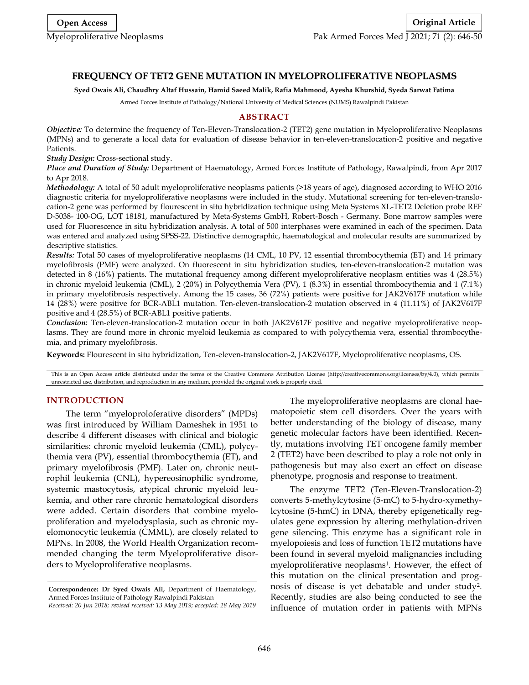# **FREQUENCY OF TET2 GENE MUTATION IN MYELOPROLIFERATIVE NEOPLASMS**

**Syed Owais Ali, Chaudhry Altaf Hussain, Hamid Saeed Malik, Rafia Mahmood, Ayesha Khurshid, Syeda Sarwat Fatima**

Armed Forces Institute of Pathology/National University of Medical Sciences (NUMS) Rawalpindi Pakistan

## **ABSTRACT**

*Objective:* To determine the frequency of Ten-Eleven-Translocation-2 (TET2) gene mutation in Myeloproliferative Neoplasms (MPNs) and to generate a local data for evaluation of disease behavior in ten-eleven-translocation-2 positive and negative Patients.

*Study Design:* Cross-sectional study.

*Place and Duration of Study:* Department of Haematology, Armed Forces Institute of Pathology, Rawalpindi, from Apr 2017 to Apr 2018.

*Methodology:* A total of 50 adult myeloproliferative neoplasms patients (>18 years of age), diagnosed according to WHO 2016 diagnostic criteria for myeloproliferative neoplasms were included in the study. Mutational screening for ten-eleven-translocation-2 gene was performed by flourescent in situ hybridization technique using Meta Systems XL-TET2 Deletion probe REF D-5038- 100-OG, LOT 18181, manufactured by Meta-Systems GmbH, Robert-Bosch - Germany. Bone marrow samples were used for Fluorescence in situ hybridization analysis. A total of 500 interphases were examined in each of the specimen. Data was entered and analyzed using SPSS-22. Distinctive demographic, haematological and molecular results are summarized by descriptive statistics.

*Results:* Total 50 cases of myeloproliferative neoplasms (14 CML, 10 PV, 12 essential thrombocythemia (ET) and 14 primary myelofibrosis (PMF) were analyzed. On fluorescent in situ hybridization studies, ten-eleven-translocation-2 mutation was detected in 8 (16%) patients. The mutational frequency among different myeloproliferative neoplasm entities was 4 (28.5%) in chronic myeloid leukemia (CML), 2 (20%) in Polycythemia Vera (PV), 1 (8.3%) in essential thrombocythemia and 1 (7.1%) in primary myelofibrosis respectively. Among the 15 cases, 36 (72%) patients were positive for JAK2V617F mutation while 14 (28%) were positive for BCR-ABL1 mutation. Ten-eleven-translocation-2 mutation observed in 4 (11.11%) of JAK2V617F positive and 4 (28.5%) of BCR-ABL1 positive patients.

*Conclusion:* Ten-eleven-translocation-2 mutation occur in both JAK2V617F positive and negative myeloproliferative neoplasms. They are found more in chronic myeloid leukemia as compared to with polycythemia vera, essential thrombocythemia, and primary myelofibrosis.

**Keywords:** Flourescent in situ hybridization, Ten-eleven-translocation-2, JAK2V617F, Myeloproliferative neoplasms, OS.

This is an Open Access article distributed under the terms of the Creative Commons Attribution License (http://creativecommons.org/licenses/by/4.0), which permits unrestricted use, distribution, and reproduction in any medium, provided the original work is properly cited.

### **INTRODUCTION**

The term "myeloproloferative disorders" (MPDs) was first introduced by William Dameshek in 1951 to describe 4 different diseases with clinical and biologic similarities: chronic myeloid leukemia (CML), polycythemia vera (PV), essential thrombocythemia (ET), and primary myelofibrosis (PMF). Later on, chronic neutrophil leukemia (CNL), hypereosinophilic syndrome, systemic mastocytosis, atypical chronic myeloid leukemia, and other rare chronic hematological disorders were added. Certain disorders that combine myeloproliferation and myelodysplasia, such as chronic myelomonocytic leukemia (CMML), are closely related to MPNs. In 2008, the World Health Organization recommended changing the term Myeloproliferative disorders to Myeloproliferative neoplasms.

The myeloproliferative neoplasms are clonal haematopoietic stem cell disorders. Over the years with better understanding of the biology of disease, many genetic molecular factors have been identified. Recently, mutations involving TET oncogene family member 2 (TET2) have been described to play a role not only in pathogenesis but may also exert an effect on disease phenotype, prognosis and response to treatment.

The enzyme TET2 (Ten-Eleven-Translocation-2) converts 5-methylcytosine (5-mC) to 5-hydro-xymethylcytosine (5-hmC) in DNA, thereby epigenetically regulates gene expression by altering methylation-driven gene silencing. This enzyme has a significant role in myelopoiesis and loss of function TET2 mutations have been found in several myeloid malignancies including myeloproliferative neoplasms<sup>1</sup> . However, the effect of this mutation on the clinical presentation and prognosis of disease is yet debatable and under study<sup>2</sup>. Recently, studies are also being conducted to see the influence of mutation order in patients with MPNs

**Correspondence: Dr Syed Owais Ali,** Department of Haematology, Armed Forces Institute of Pathology Rawalpindi Pakistan *Received: 20 Jun 2018; revised received: 13 May 2019; accepted: 28 May 2019*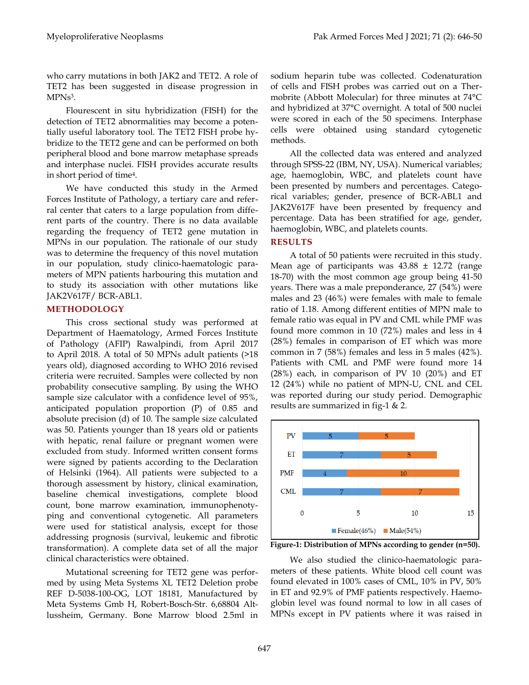who carry mutations in both JAK2 and TET2. A role of TET2 has been suggested in disease progression in MPNs<sup>3</sup>.

Flourescent in situ hybridization (FISH) for the detection of TET2 abnormalities may become a potentially useful laboratory tool. The TET2 FISH probe hybridize to the TET2 gene and can be performed on both peripheral blood and bone marrow metaphase spreads and interphase nuclei. FISH provides accurate results in short period of time<sup>4</sup> .

We have conducted this study in the Armed Forces Institute of Pathology, a tertiary care and referral center that caters to a large population from different parts of the country. There is no data available regarding the frequency of TET2 gene mutation in MPNs in our population. The rationale of our study was to determine the frequency of this novel mutation in our population, study clinico-haematologic parameters of MPN patients harbouring this mutation and to study its association with other mutations like JAK2V617F/ BCR-ABL1.

## **METHODOLOGY**

This cross sectional study was performed at Department of Haematology, Armed Forces Institute of Pathology (AFIP) Rawalpindi, from April 2017 to April 2018. A total of 50 MPNs adult patients (>18 years old), diagnosed according to WHO 2016 revised criteria were recruited. Samples were collected by non probability consecutive sampling. By using the WHO sample size calculator with a confidence level of 95%, anticipated population proportion (P) of 0.85 and absolute precision (d) of 10. The sample size calculated was 50. Patients younger than 18 years old or patients with hepatic, renal failure or pregnant women were excluded from study. Informed written consent forms were signed by patients according to the Declaration of Helsinki (1964). All patients were subjected to a thorough assessment by history, clinical examination, baseline chemical investigations, complete blood count, bone marrow examination, immunophenotyping and conventional cytogenetic. All parameters were used for statistical analysis, except for those addressing prognosis (survival, leukemic and fibrotic transformation). A complete data set of all the major clinical characteristics were obtained.

Mutational screening for TET2 gene was performed by using Meta Systems XL TET2 Deletion probe REF D-5038-100-OG, LOT 18181, Manufactured by Meta Systems Gmb H, Robert-Bosch-Str. 6,68804 Altlussheim, Germany. Bone Marrow blood 2.5ml in sodium heparin tube was collected. Codenaturation of cells and FISH probes was carried out on a Thermobrite (Abbott Molecular) for three minutes at 74°C and hybridized at 37°C overnight. A total of 500 nuclei were scored in each of the 50 specimens. Interphase cells were obtained using standard cytogenetic methods.

All the collected data was entered and analyzed through SPSS-22 (IBM, NY, USA). Numerical variables; age, haemoglobin, WBC, and platelets count have been presented by numbers and percentages. Categorical variables; gender, presence of BCR-ABL1 and JAK2V617F have been presented by frequency and percentage. Data has been stratified for age, gender, haemoglobin, WBC, and platelets counts.

## **RESULTS**

A total of 50 patients were recruited in this study. Mean age of participants was  $43.88 \pm 12.72$  (range 18-70) with the most common age group being 41-50 years. There was a male preponderance, 27 (54%) were males and 23 (46%) were females with male to female ratio of 1.18. Among different entities of MPN male to female ratio was equal in PV and CML while PMF was found more common in 10 (72%) males and less in 4 (28%) females in comparison of ET which was more common in 7 (58%) females and less in 5 males (42%). Patients with CML and PMF were found more 14 (28%) each, in comparison of PV 10 (20%) and ET 12 (24%) while no patient of MPN-U, CNL and CEL was reported during our study period. Demographic results are summarized in fig-1 & 2.



**Figure-1: Distribution of MPNs according to gender (n=50).**

We also studied the clinico-haematologic parameters of these patients. White blood cell count was found elevated in 100% cases of CML, 10% in PV, 50% in ET and 92.9% of PMF patients respectively. Haemoglobin level was found normal to low in all cases of MPNs except in PV patients where it was raised in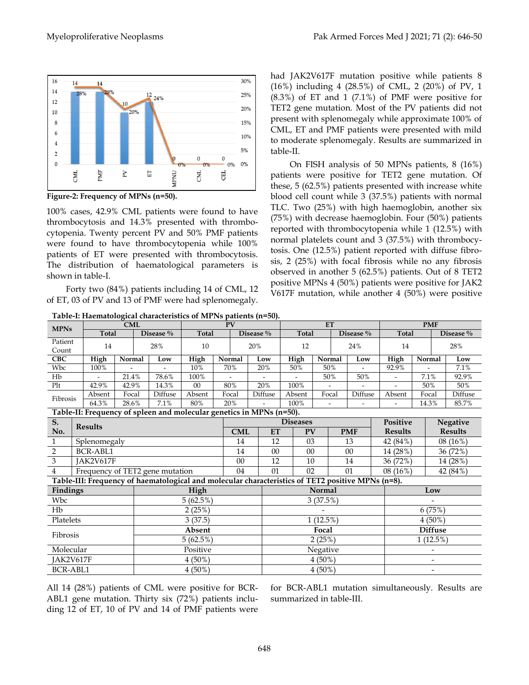

**Figure-2: Frequency of MPNs (n=50).**

100% cases, 42.9% CML patients were found to have thrombocytosis and 14.3% presented with thrombocytopenia. Twenty percent PV and 50% PMF patients were found to have thrombocytopenia while 100% patients of ET were presented with thrombocytosis. The distribution of haematological parameters is shown in table-I.

Forty two (84%) patients including 14 of CML, 12 of ET, 03 of PV and 13 of PMF were had splenomegaly.

had JAK2V617F mutation positive while patients 8 (16%) including 4 (28.5%) of CML, 2 (20%) of PV, 1 (8.3%) of ET and 1 (7.1%) of PMF were positive for TET2 gene mutation. Most of the PV patients did not present with splenomegaly while approximate 100% of CML, ET and PMF patients were presented with mild to moderate splenomegaly. Results are summarized in table-II.

On FISH analysis of 50 MPNs patients, 8 (16%) patients were positive for TET2 gene mutation. Of these, 5 (62.5%) patients presented with increase white blood cell count while 3 (37.5%) patients with normal TLC. Two (25%) with high haemoglobin, another six (75%) with decrease haemoglobin. Four (50%) patients reported with thrombocytopenia while 1 (12.5%) with normal platelets count and 3 (37.5%) with thrombocytosis. One (12.5%) patient reported with diffuse fibrosis, 2 (25%) with focal fibrosis while no any fibrosis observed in another 5 (62.5%) patients. Out of 8 TET2 positive MPNs 4 (50%) patients were positive for JAK2 V617F mutation, while another 4 (50%) were positive

| <b>MPNs</b>                                                                                       |              |                 | <b>CML</b> |               |                                 | <b>PV</b> |            |               |         | ET              |        |            |                |                 | <b>PMF</b>               |                 |          |  |
|---------------------------------------------------------------------------------------------------|--------------|-----------------|------------|---------------|---------------------------------|-----------|------------|---------------|---------|-----------------|--------|------------|----------------|-----------------|--------------------------|-----------------|----------|--|
|                                                                                                   |              | <b>Total</b>    |            | Disease %     |                                 | Total     |            | Disease %     |         | <b>Total</b>    |        |            | Disease %      | <b>Total</b>    |                          | Disease %       |          |  |
| Patient                                                                                           |              | 14              |            |               | 28%                             | 10        |            |               | 20%     | 12              |        |            | 24%            | 14              |                          | 28%             |          |  |
| Count                                                                                             |              |                 |            |               |                                 |           |            |               |         |                 |        |            |                |                 |                          |                 |          |  |
| <b>CBC</b>                                                                                        |              | High            |            | Normal<br>Low |                                 | High      | Normal     |               | Low     | High            |        | Normal     | Low            | High            | Normal                   |                 | Low      |  |
| Wbc                                                                                               |              | 100%            |            |               |                                 | 10%       | 70%        |               | 20%     | 50%             |        | 50%        |                | 92.9%           |                          |                 | 7.1%     |  |
| Hb                                                                                                |              |                 | 21.4%      |               | 78.6%                           | 100%      |            |               |         |                 |        | $50\%$     | 50%            |                 | 7.1%                     |                 | 92.9%    |  |
| Plt                                                                                               |              | 42.9%           | 42.9%      |               | 14.3%                           | 00        |            | 80%           | 20%     | 100%            |        |            |                |                 | 50%                      |                 | 50%      |  |
| Fibrosis                                                                                          |              | Absent          | Focal      |               | Diffuse                         | Absent    | Focal      |               | Diffuse | Absent          |        | Focal      | Diffuse        | Absent          | Focal                    |                 | Diffuse  |  |
|                                                                                                   |              | 64.3%           |            | 28.6%<br>7.1% |                                 | 80%       | 20%        |               |         | 100%            |        |            |                |                 | 14.3%                    |                 | 85.7%    |  |
| Table-II: Frequency of spleen and molecular genetics in MPNs (n=50).                              |              |                 |            |               |                                 |           |            |               |         |                 |        |            |                |                 |                          |                 |          |  |
| S.                                                                                                |              | <b>Results</b>  |            |               |                                 |           |            |               |         | <b>Diseases</b> |        |            |                | <b>Positive</b> |                          | <b>Negative</b> |          |  |
| No.                                                                                               |              |                 |            |               |                                 |           | <b>CML</b> | ET            |         | <b>PV</b>       |        | <b>PMF</b> | <b>Results</b> |                 |                          | <b>Results</b>  |          |  |
| $\mathbf{1}$                                                                                      | Splenomegaly |                 |            |               |                                 |           |            | 14            | 12      |                 | 03     |            | 13             | 42 (84%)        |                          |                 | 08(16%)  |  |
| $\overline{2}$                                                                                    |              | <b>BCR-ABL1</b> |            |               |                                 |           |            | 14            | 00      |                 | $00\,$ |            | 00             | 14 (28%)        |                          |                 | 36 (72%) |  |
| 3                                                                                                 |              | JAK2V617F       |            |               |                                 |           |            | 00            | 12      |                 | 10     |            | 14             | 36 (72%)        |                          |                 | 14 (28%) |  |
| $\overline{4}$                                                                                    |              |                 |            |               | Frequency of TET2 gene mutation |           |            | 04            | 01      | 02              |        |            | 01             |                 | $08(16\%)$               |                 | 42 (84%) |  |
| Table-III: Frequency of haematological and molecular characteristics of TET2 positive MPNs (n=8). |              |                 |            |               |                                 |           |            |               |         |                 |        |            |                |                 |                          |                 |          |  |
| <b>Findings</b>                                                                                   |              |                 |            | High          |                                 |           |            | <b>Normal</b> |         |                 |        |            |                | Low             |                          |                 |          |  |
| Wbc                                                                                               |              |                 |            | 5(62.5%)      |                                 |           |            |               |         | 3(37.5%)        |        |            |                |                 |                          |                 |          |  |
| Hb                                                                                                |              |                 |            | 2(25%)        |                                 |           |            |               |         |                 |        |            |                |                 | 6(75%)                   |                 |          |  |
| Platelets                                                                                         |              |                 |            | 3(37.5)       |                                 |           |            |               |         | 1(12.5%)        |        |            |                |                 | $4(50\%)$                |                 |          |  |
|                                                                                                   |              |                 |            | Absent        |                                 |           |            |               |         | Focal           |        |            |                |                 | <b>Diffuse</b>           |                 |          |  |
| Fibrosis                                                                                          |              |                 | 5(62.5%)   |               |                                 |           |            | 2(25%)        |         |                 |        |            | 1(12.5%)       |                 |                          |                 |          |  |
| Molecular                                                                                         |              |                 |            | Positive      |                                 |           |            |               |         | Negative        |        |            |                |                 |                          |                 |          |  |
| JAK2V617F                                                                                         |              |                 |            | $4(50\%)$     |                                 |           |            |               |         | $4(50\%)$       |        |            |                |                 | $\overline{\phantom{a}}$ |                 |          |  |
| <b>BCR-ABL1</b>                                                                                   |              |                 |            | $4(50\%)$     |                                 |           |            |               |         | $4(50\%)$       |        |            |                |                 | $\overline{\phantom{a}}$ |                 |          |  |

**Table-I: Haematological characteristics of MPNs patients (n=50).**

All 14 (28%) patients of CML were positive for BCR-ABL1 gene mutation. Thirty six (72%) patients including 12 of ET, 10 of PV and 14 of PMF patients were for BCR-ABL1 mutation simultaneously. Results are summarized in table-III.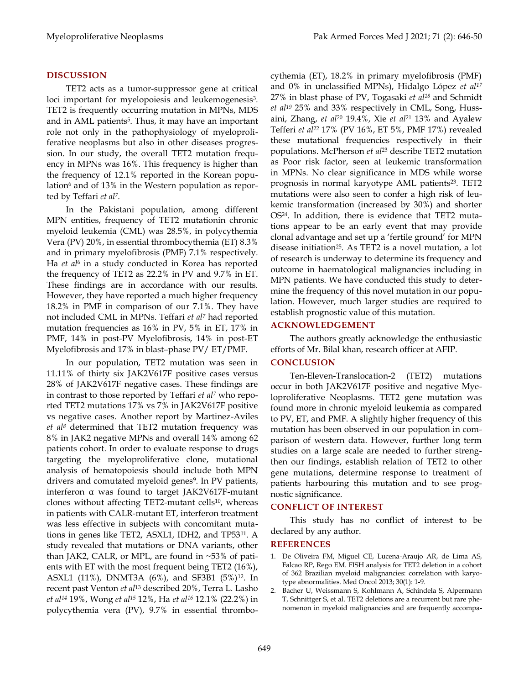### **DISCUSSION**

TET2 acts as a tumor-suppressor gene at critical loci important for myelopoiesis and leukemogenesis<sup>3</sup>. TET2 is frequently occurring mutation in MPNs, MDS and in AML patients<sup>5</sup>. Thus, it may have an important role not only in the pathophysiology of myeloproliferative neoplasms but also in other diseases progression. In our study, the overall TET2 mutation frequency in MPNs was 16%. This frequency is higher than the frequency of 12.1% reported in the Korean population<sup>6</sup> and of 13% in the Western population as reported by Teffari *et al<sup>7</sup>* .

In the Pakistani population, among different MPN entities, frequency of TET2 mutationin chronic myeloid leukemia (CML) was 28.5%, in polycythemia Vera (PV) 20%, in essential thrombocythemia (ET) 8.3% and in primary myelofibrosis (PMF) 7.1% respectively. Ha *et al*<sup>6</sup> in a study conducted in Korea has reported the frequency of TET2 as 22.2% in PV and 9.7% in ET. These findings are in accordance with our results. However, they have reported a much higher frequency 18.2% in PMF in comparison of our 7.1%. They have not included CML in MPNs. Teffari *et al<sup>7</sup>* had reported mutation frequencies as 16% in PV, 5% in ET, 17% in PMF, 14% in post-PV Myelofibrosis, 14% in post-ET Myelofibrosis and 17% in blast–phase PV/ ET/PMF.

In our population, TET2 mutation was seen in 11.11% of thirty six JAK2V617F positive cases versus 28% of JAK2V617F negative cases. These findings are in contrast to those reported by Teffari *et al<sup>7</sup>* who reported TET2 mutations 17% vs 7% in JAK2V617F positive vs negative cases. Another report by Martinez-Aviles *et al<sup>8</sup>* determined that TET2 mutation frequency was 8% in JAK2 negative MPNs and overall 14% among 62 patients cohort. In order to evaluate response to drugs targeting the myeloproliferative clone, mutational analysis of hematopoiesis should include both MPN drivers and comutated myeloid genes<sup>9</sup>. In PV patients, interferon α was found to target JAK2V617F-mutant clones without affecting TET2-mutant cells<sup>10</sup>, whereas in patients with CALR-mutant ET, interferon treatment was less effective in subjects with concomitant mutations in genes like TET2, ASXL1, IDH2, and TP53<sup>11</sup> . A study revealed that mutations or DNA variants, other than JAK2, CALR, or MPL, are found in  $~53\%$  of patients with ET with the most frequent being TET2 (16%), ASXL1 (11%), DNMT3A (6%), and SF3B1 (5%)<sup>12</sup> . In recent past Venton *et al*<sup>13</sup> described 20%, Terra L. Lasho *et al<sup>14</sup>* 19%, Wong *et al<sup>15</sup>* 12%, Ha *et al<sup>16</sup>* 12.1% (22.2%) in polycythemia vera (PV), 9.7% in essential thrombocythemia (ET), 18.2% in primary myelofibrosis (PMF) and 0% in unclassified MPNs), Hidalgo López *et al<sup>17</sup>* 27% in blast phase of PV, Togasaki *et al<sup>18</sup>* and Schmidt *et al<sup>19</sup>* 25% and 33% respectively in CML, Song, Hussaini, Zhang, *et al*<sup>20</sup> 19.4%, Xie *et al*<sup>21</sup> 13% and Ayalew Tefferi *et al*<sup>22</sup> 17% (PV 16%, ET 5%, PMF 17%) revealed these mutational frequencies respectively in their populations. McPherson *et al*<sup>23</sup> describe TET2 mutation as Poor risk factor, seen at leukemic transformation in MPNs. No clear significance in MDS while worse prognosis in normal karyotype AML patients<sup>23</sup>. TET2 mutations were also seen to confer a high risk of leukemic transformation (increased by 30%) and shorter OS<sup>24</sup> . In addition, there is evidence that TET2 mutations appear to be an early event that may provide clonal advantage and set up a "fertile ground" for MPN disease initiation<sup>25</sup> . As TET2 is a novel mutation, a lot of research is underway to determine its frequency and outcome in haematological malignancies including in MPN patients. We have conducted this study to determine the frequency of this novel mutation in our population. However, much larger studies are required to establish prognostic value of this mutation.

### **ACKNOWLEDGEMENT**

The authors greatly acknowledge the enthusiastic efforts of Mr. Bilal khan, research officer at AFIP.

#### **CONCLUSION**

Ten-Eleven-Translocation-2 (TET2) mutations occur in both JAK2V617F positive and negative Myeloproliferative Neoplasms. TET2 gene mutation was found more in chronic myeloid leukemia as compared to PV, ET, and PMF. A slightly higher frequency of this mutation has been observed in our population in comparison of western data. However, further long term studies on a large scale are needed to further strengthen our findings, establish relation of TET2 to other gene mutations, determine response to treatment of patients harbouring this mutation and to see prognostic significance.

#### **CONFLICT OF INTEREST**

This study has no conflict of interest to be declared by any author.

#### **REFERENCES**

- 1. De Oliveira FM, Miguel CE, Lucena-Araujo AR, de Lima AS, Falcao RP, Rego EM. FISH analysis for TET2 deletion in a cohort of 362 Brazilian myeloid malignancies: correlation with karyotype abnormalities. Med Oncol 2013; 30(1): 1-9.
- 2. Bacher U, Weissmann S, Kohlmann A, Schindela S, Alpermann T, Schnittger S, et al. TET2 deletions are a recurrent but rare phenomenon in myeloid malignancies and are frequently accompa-